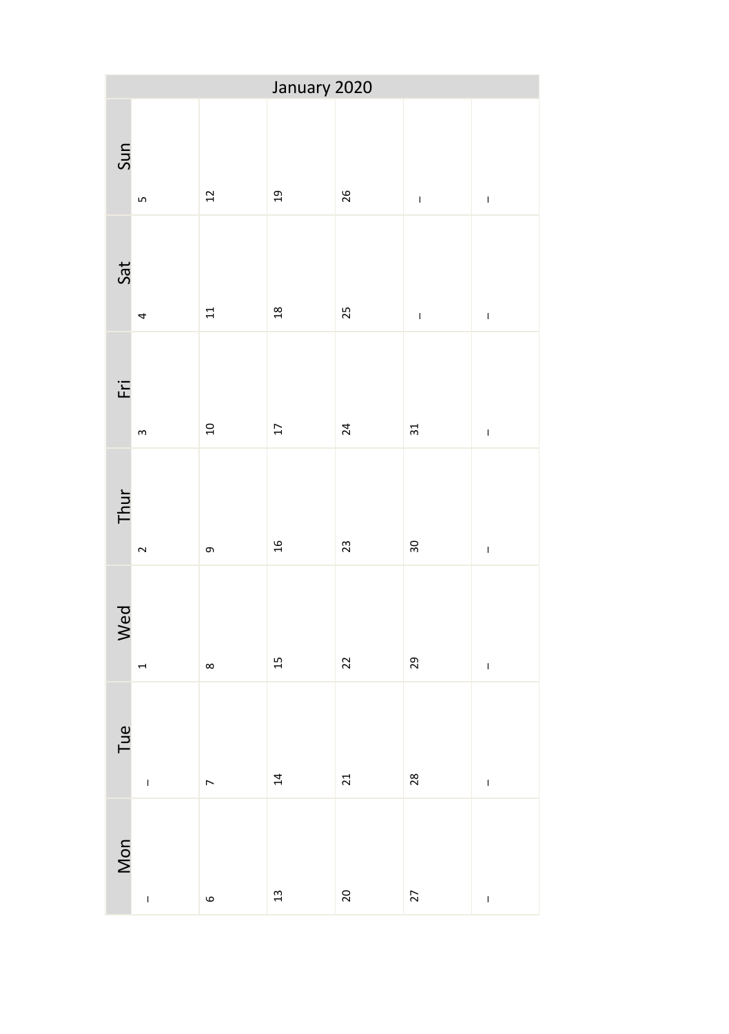| January 2020 |                                                                                                                                                                                                                                                                                                                                                                                  |                |                 |                |               |                                                                                                                                                                                                                                                                                                                                                                                  |  |
|--------------|----------------------------------------------------------------------------------------------------------------------------------------------------------------------------------------------------------------------------------------------------------------------------------------------------------------------------------------------------------------------------------|----------------|-----------------|----------------|---------------|----------------------------------------------------------------------------------------------------------------------------------------------------------------------------------------------------------------------------------------------------------------------------------------------------------------------------------------------------------------------------------|--|
| Sun          | $\overline{5}$                                                                                                                                                                                                                                                                                                                                                                   | 12             | 19              | 26             | $\mathsf I$   | $\begin{array}{c} \rule{0pt}{2.5ex} \rule{0pt}{2.5ex} \rule{0pt}{2.5ex} \rule{0pt}{2.5ex} \rule{0pt}{2.5ex} \rule{0pt}{2.5ex} \rule{0pt}{2.5ex} \rule{0pt}{2.5ex} \rule{0pt}{2.5ex} \rule{0pt}{2.5ex} \rule{0pt}{2.5ex} \rule{0pt}{2.5ex} \rule{0pt}{2.5ex} \rule{0pt}{2.5ex} \rule{0pt}{2.5ex} \rule{0pt}{2.5ex} \rule{0pt}{2.5ex} \rule{0pt}{2.5ex} \rule{0pt}{2.5ex} \rule{0$ |  |
| Sat          | 4                                                                                                                                                                                                                                                                                                                                                                                | 11             | 18              | 25             | $\bar{\rm I}$ | $\mathbf{I}$                                                                                                                                                                                                                                                                                                                                                                     |  |
| Ēñ           | $\mathsf m$                                                                                                                                                                                                                                                                                                                                                                      | $\overline{a}$ | $\overline{17}$ | 24             | 31            | $\begin{array}{c} \rule{0pt}{2.5ex} \rule{0pt}{2.5ex} \rule{0pt}{2.5ex} \rule{0pt}{2.5ex} \rule{0pt}{2.5ex} \rule{0pt}{2.5ex} \rule{0pt}{2.5ex} \rule{0pt}{2.5ex} \rule{0pt}{2.5ex} \rule{0pt}{2.5ex} \rule{0pt}{2.5ex} \rule{0pt}{2.5ex} \rule{0pt}{2.5ex} \rule{0pt}{2.5ex} \rule{0pt}{2.5ex} \rule{0pt}{2.5ex} \rule{0pt}{2.5ex} \rule{0pt}{2.5ex} \rule{0pt}{2.5ex} \rule{0$ |  |
| Thur         | $\sim$                                                                                                                                                                                                                                                                                                                                                                           | თ,             | $\mathfrak{a}$  | $\mathfrak{L}$ | 30            | $\mathbf{I}$                                                                                                                                                                                                                                                                                                                                                                     |  |
| Wed          | $\overline{ }$                                                                                                                                                                                                                                                                                                                                                                   | $\infty$       | $\overline{1}$  | 22             | 29            | $\bar{1}$                                                                                                                                                                                                                                                                                                                                                                        |  |
| Tue          | $\begin{array}{c} \rule{0pt}{2.5ex} \rule{0pt}{2.5ex} \rule{0pt}{2.5ex} \rule{0pt}{2.5ex} \rule{0pt}{2.5ex} \rule{0pt}{2.5ex} \rule{0pt}{2.5ex} \rule{0pt}{2.5ex} \rule{0pt}{2.5ex} \rule{0pt}{2.5ex} \rule{0pt}{2.5ex} \rule{0pt}{2.5ex} \rule{0pt}{2.5ex} \rule{0pt}{2.5ex} \rule{0pt}{2.5ex} \rule{0pt}{2.5ex} \rule{0pt}{2.5ex} \rule{0pt}{2.5ex} \rule{0pt}{2.5ex} \rule{0$ | $\overline{a}$ | $\overline{a}$  | $\overline{c}$ | 28            | $\bar{1}$                                                                                                                                                                                                                                                                                                                                                                        |  |
| Mon          | $\mathbf{I}$                                                                                                                                                                                                                                                                                                                                                                     | $\circ$        | $\frac{1}{2}$   | 20             | 27            | $\begin{array}{c} \rule{0pt}{2.5ex} \rule{0pt}{2.5ex} \rule{0pt}{2.5ex} \rule{0pt}{2.5ex} \rule{0pt}{2.5ex} \rule{0pt}{2.5ex} \rule{0pt}{2.5ex} \rule{0pt}{2.5ex} \rule{0pt}{2.5ex} \rule{0pt}{2.5ex} \rule{0pt}{2.5ex} \rule{0pt}{2.5ex} \rule{0pt}{2.5ex} \rule{0pt}{2.5ex} \rule{0pt}{2.5ex} \rule{0pt}{2.5ex} \rule{0pt}{2.5ex} \rule{0pt}{2.5ex} \rule{0pt}{2.5ex} \rule{0$ |  |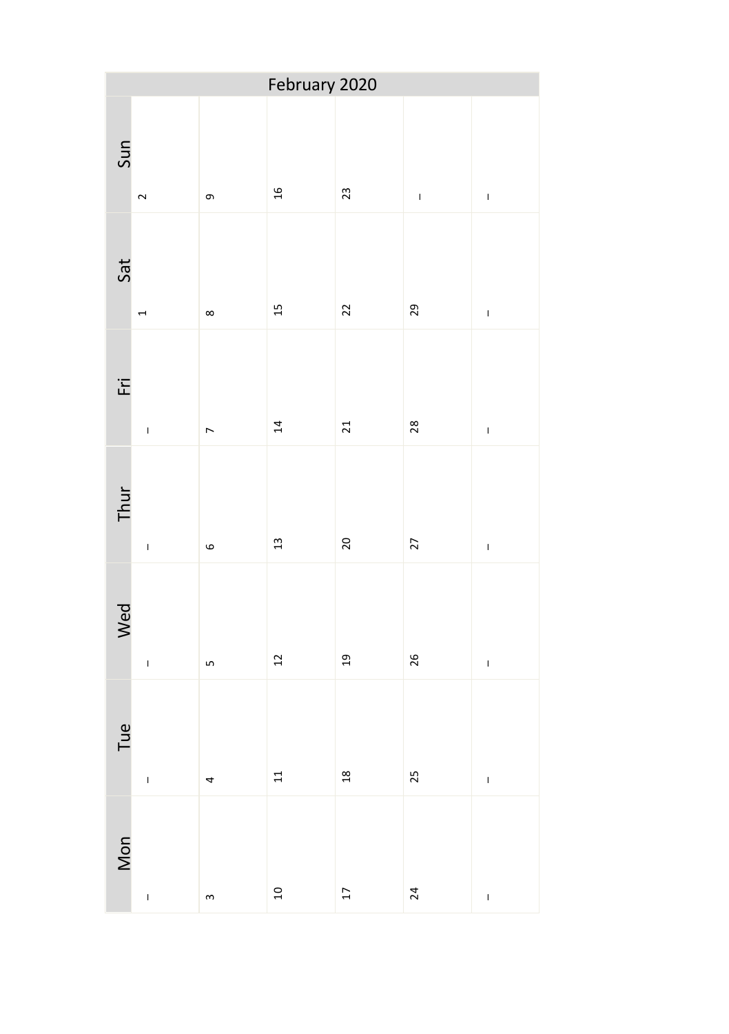| February 2020 |                |                |                                    |                 |           |              |  |
|---------------|----------------|----------------|------------------------------------|-----------------|-----------|--------------|--|
| Sun           | $\sim$         | თ,             | $\frac{1}{2}$                      | 23              | $\bar{1}$ | $\mathbf{I}$ |  |
| Sat           | $\overline{ }$ | $\infty$       | 15                                 | 22              | 29        | $\mathbf{I}$ |  |
| Εri           | $\mathbf{I}$   | $\overline{a}$ | 14                                 | 21              | 28        | $\mathbf{I}$ |  |
| Thur          | $\overline{1}$ | $\circ$        | $\frac{1}{3}$                      | 20              | 27        | $\mathbf{I}$ |  |
| Wed           | $\mathbf{I}$   | LŊ             | $22$                               | $_{19}$         | 26        | $\mathbf{I}$ |  |
| Tue           | $\overline{1}$ | 4              | 11                                 | 18              | 25        | $\mathbf{I}$ |  |
| Mon           | $\overline{1}$ | $\infty$       | $\begin{array}{c}\n0\n\end{array}$ | $\overline{17}$ | 24        | $\mathbf{I}$ |  |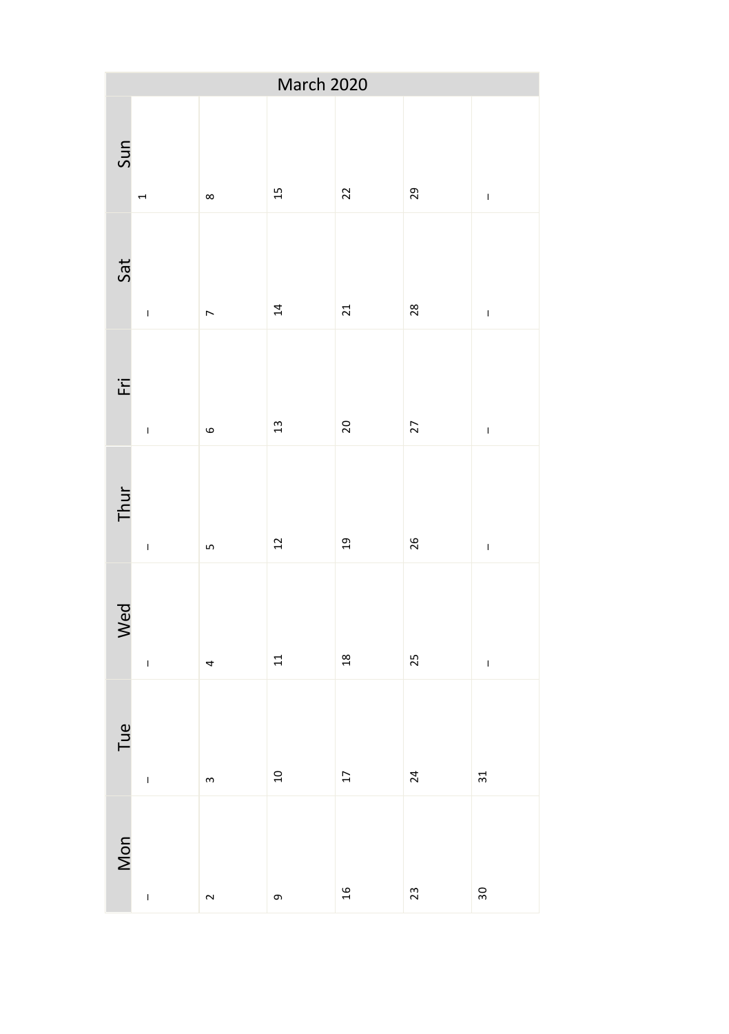| March 2020 |                                                                                                                                                                                                                                                                                                                                                                                                                |                |                                    |      |    |               |  |
|------------|----------------------------------------------------------------------------------------------------------------------------------------------------------------------------------------------------------------------------------------------------------------------------------------------------------------------------------------------------------------------------------------------------------------|----------------|------------------------------------|------|----|---------------|--|
| Sun        | $\overline{ }$                                                                                                                                                                                                                                                                                                                                                                                                 | $\infty$       | 15                                 | 22   | 29 | $\bar{\rm I}$ |  |
| Sat        | $\mathbf{I}$                                                                                                                                                                                                                                                                                                                                                                                                   | $\overline{ }$ | $\overline{14}$                    | 21   | 28 | $\bar{\rm I}$ |  |
| ĒÏ         | $\mathbf{I}$                                                                                                                                                                                                                                                                                                                                                                                                   | $\circ$        | 13                                 | 20   | 27 | $\bar{\rm I}$ |  |
| Thur       | $\bar{1}$                                                                                                                                                                                                                                                                                                                                                                                                      | LŊ             | 12                                 | 19   | 26 | $\mathbf{I}$  |  |
| Wed        | $\overline{1}$                                                                                                                                                                                                                                                                                                                                                                                                 | 4              | $\Xi$                              | 18   | 25 | $\mathbf{I}$  |  |
| Tue        | $\begin{array}{c} \rule{0pt}{2ex} \rule{0pt}{2ex} \rule{0pt}{2ex} \rule{0pt}{2ex} \rule{0pt}{2ex} \rule{0pt}{2ex} \rule{0pt}{2ex} \rule{0pt}{2ex} \rule{0pt}{2ex} \rule{0pt}{2ex} \rule{0pt}{2ex} \rule{0pt}{2ex} \rule{0pt}{2ex} \rule{0pt}{2ex} \rule{0pt}{2ex} \rule{0pt}{2ex} \rule{0pt}{2ex} \rule{0pt}{2ex} \rule{0pt}{2ex} \rule{0pt}{2ex} \rule{0pt}{2ex} \rule{0pt}{2ex} \rule{0pt}{2ex} \rule{0pt}{$ | $\mathsf{S}$   | $\begin{array}{c}\n0\n\end{array}$ | $17$ | 24 | 31            |  |
| Mon        | $\mathbf{I}$                                                                                                                                                                                                                                                                                                                                                                                                   | $\sim$         | თ,                                 | 16   | 23 | 30            |  |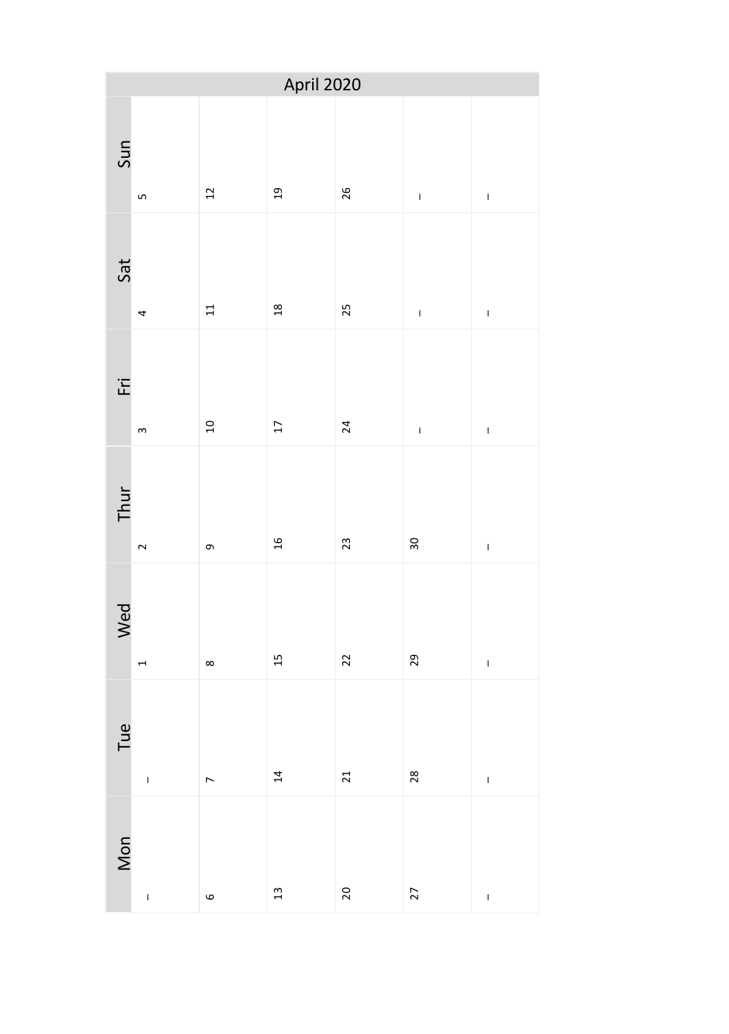| April 2020 |                |                |                |    |                |               |  |
|------------|----------------|----------------|----------------|----|----------------|---------------|--|
| Sun        | LŊ             | $\frac{1}{2}$  | $\overline{a}$ | 26 | $\bar{1}$      | $\mathbf{I}$  |  |
| Sat        | 4              | 11             | 18             | 25 | $\mathbf{I}$   | $\bar{\rm I}$ |  |
| ĒÏ         | $\infty$       | $\overline{a}$ | $17$           | 24 | $\overline{1}$ | $\mathbf{I}$  |  |
| Thur       | $\sim$         | თ,             | $\frac{1}{2}$  | 23 | 30             | $\mathbf{I}$  |  |
| Wed        | $\overline{a}$ | $\infty$       | 15             | 22 | 29             | $\bar{\rm I}$ |  |
| Tue        | $\overline{1}$ | $\overline{a}$ | 14             | 21 | 28             | $\mathbf{I}$  |  |
| Mon        | $\overline{1}$ | $\circ$        | 13             | 20 | 27             | $\mathbf{I}$  |  |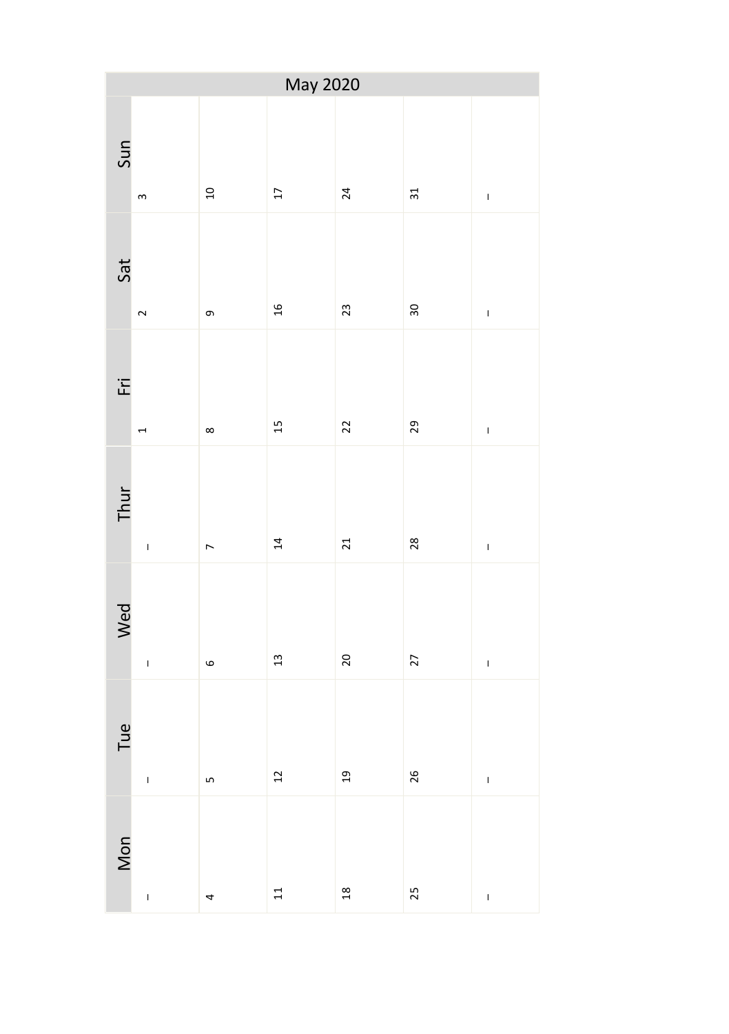| May 2020 |                |                 |      |                |    |              |  |
|----------|----------------|-----------------|------|----------------|----|--------------|--|
| Sun      | $\mathsf m$    | $\overline{10}$ | 17   | 24             | 31 | $\mathbf{I}$ |  |
| Sat      | $\sim$         | თ,              | $16$ | 23             | 30 | $\mathbf{I}$ |  |
| Εri      | $\overline{ }$ | $\infty$        | 15   | 22             | 29 | $\mathbf{I}$ |  |
| Thur     | $\overline{1}$ | $\overline{a}$  | 14   | 21             | 28 | $\mathbf{I}$ |  |
| Wed      | $\mathbf{I}$   | $\circ$         | 13   | 20             | 27 | $\mathbf{I}$ |  |
| Tue      | $\mathbf{I}$   | LŊ              | 12   | $_{19}$        | 26 | $\mathbf{I}$ |  |
| Mon      | $\overline{1}$ | 4               | 11   | $\frac{8}{18}$ | 25 | $\mathbf{I}$ |  |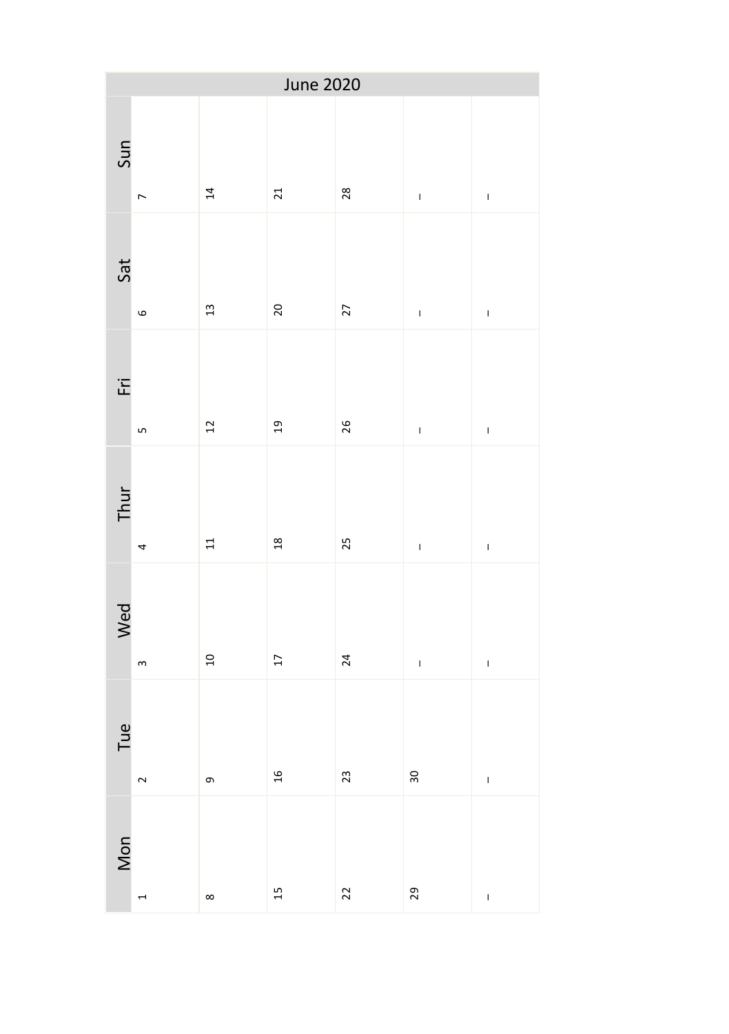| June 2020 |                |                 |                 |    |                                                                                                                                                                                                                                                                                                                                                                                  |              |  |
|-----------|----------------|-----------------|-----------------|----|----------------------------------------------------------------------------------------------------------------------------------------------------------------------------------------------------------------------------------------------------------------------------------------------------------------------------------------------------------------------------------|--------------|--|
| Sun       | $\overline{ }$ | $\overline{14}$ | 21              | 28 | $\mathbf{I}$                                                                                                                                                                                                                                                                                                                                                                     | $\mathbf{I}$ |  |
| Sat       | $\circ$        | 13              | 20              | 27 | $\bar{1}$                                                                                                                                                                                                                                                                                                                                                                        | $\mathbf{I}$ |  |
| ĒÏ        | Lŋ             | 12              | 19              | 26 | $\begin{array}{c} \rule{0pt}{2.5ex} \rule{0pt}{2.5ex} \rule{0pt}{2.5ex} \rule{0pt}{2.5ex} \rule{0pt}{2.5ex} \rule{0pt}{2.5ex} \rule{0pt}{2.5ex} \rule{0pt}{2.5ex} \rule{0pt}{2.5ex} \rule{0pt}{2.5ex} \rule{0pt}{2.5ex} \rule{0pt}{2.5ex} \rule{0pt}{2.5ex} \rule{0pt}{2.5ex} \rule{0pt}{2.5ex} \rule{0pt}{2.5ex} \rule{0pt}{2.5ex} \rule{0pt}{2.5ex} \rule{0pt}{2.5ex} \rule{0$ | $\mathbf{I}$ |  |
| Thur      | 4              | 11              | 18              | 25 | $\mathbf{I}$                                                                                                                                                                                                                                                                                                                                                                     | $\mathbf{I}$ |  |
| Wed       | $\mathsf m$    | $\frac{1}{2}$   | $\overline{17}$ | 24 | $\mathsf I$                                                                                                                                                                                                                                                                                                                                                                      | $\mathbf{I}$ |  |
| Tue       | $\sim$         | G               | $16$            | 23 | 30                                                                                                                                                                                                                                                                                                                                                                               | $\mathbf{I}$ |  |
| Mon       | 4              | $\infty$        | 15              | 22 | 29                                                                                                                                                                                                                                                                                                                                                                               | $\mathbf{I}$ |  |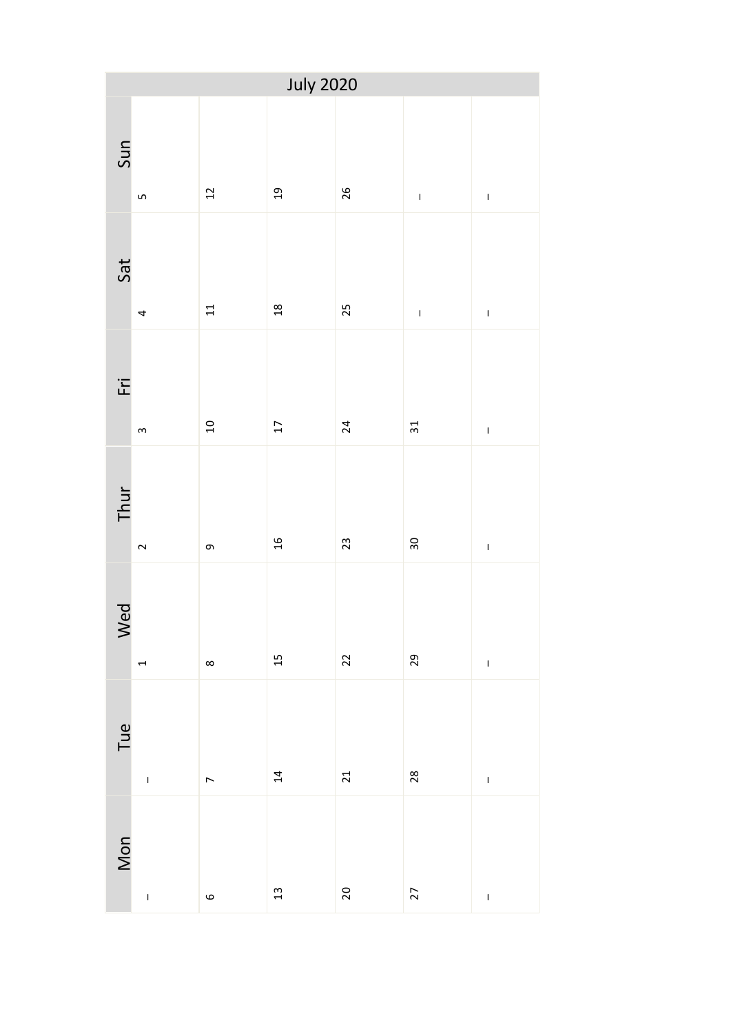| <b>July 2020</b> |                |                                    |                 |    |                                                                                                                                                                                                                                                                                                                                                                                  |              |  |
|------------------|----------------|------------------------------------|-----------------|----|----------------------------------------------------------------------------------------------------------------------------------------------------------------------------------------------------------------------------------------------------------------------------------------------------------------------------------------------------------------------------------|--------------|--|
| Sun              | Lŋ             | $\frac{1}{2}$                      | $\overline{c}$  | 26 | $\begin{array}{c} \rule{0pt}{2.5ex} \rule{0pt}{2.5ex} \rule{0pt}{2.5ex} \rule{0pt}{2.5ex} \rule{0pt}{2.5ex} \rule{0pt}{2.5ex} \rule{0pt}{2.5ex} \rule{0pt}{2.5ex} \rule{0pt}{2.5ex} \rule{0pt}{2.5ex} \rule{0pt}{2.5ex} \rule{0pt}{2.5ex} \rule{0pt}{2.5ex} \rule{0pt}{2.5ex} \rule{0pt}{2.5ex} \rule{0pt}{2.5ex} \rule{0pt}{2.5ex} \rule{0pt}{2.5ex} \rule{0pt}{2.5ex} \rule{0$ | $\mathbf{I}$ |  |
| Sat              | 4              | 11                                 | 18              | 25 | $\mathbf{I}$                                                                                                                                                                                                                                                                                                                                                                     | $\mathbf{I}$ |  |
| ĒÏ               | $\,$ $\,$      | $\begin{array}{c}\n0\n\end{array}$ | $\overline{17}$ | 24 | 31                                                                                                                                                                                                                                                                                                                                                                               | $\mathbf{I}$ |  |
| Thur             | $\sim$         | თ,                                 | $\frac{16}{1}$  | 23 | 30                                                                                                                                                                                                                                                                                                                                                                               | $\mathbf{I}$ |  |
| Wed              | $\overline{a}$ | $\infty$                           | 15              | 22 | 29                                                                                                                                                                                                                                                                                                                                                                               | $\mathbf{I}$ |  |
| Tue              | $\mathbf{I}$   | $\overline{a}$                     | 14              | 21 | 28                                                                                                                                                                                                                                                                                                                                                                               | $\mathbf{I}$ |  |
| Mon              | $\overline{1}$ | $\circ$                            | 13              | 20 | 27                                                                                                                                                                                                                                                                                                                                                                               | $\mathbf{I}$ |  |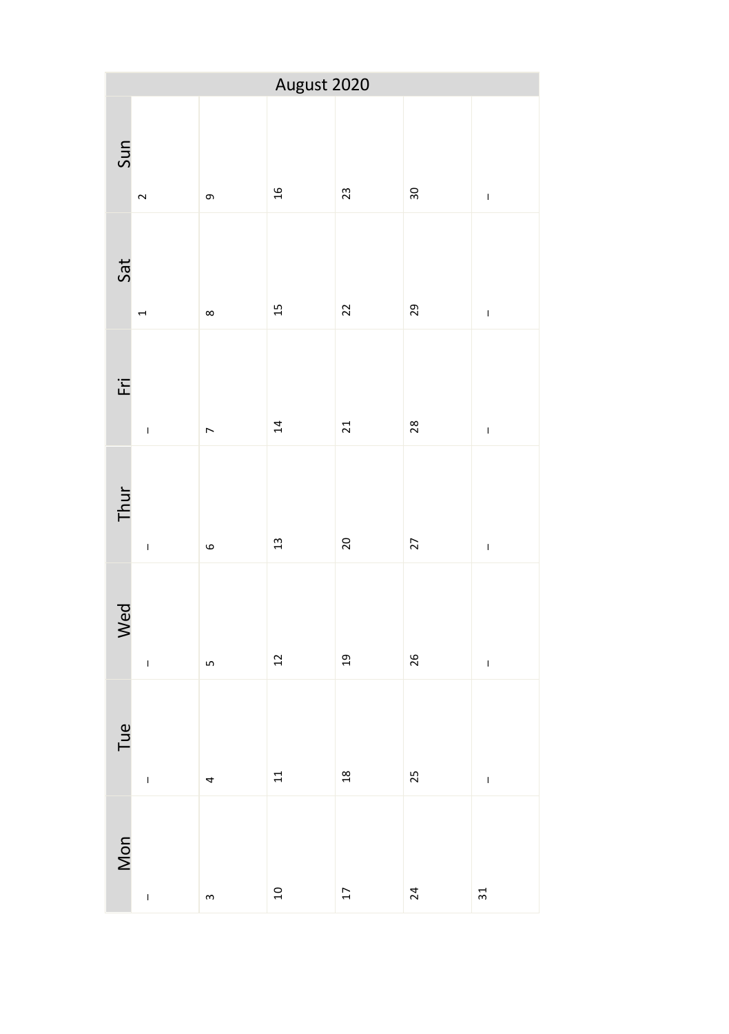| August 2020 |                |                |                                    |                 |    |              |  |
|-------------|----------------|----------------|------------------------------------|-----------------|----|--------------|--|
| Sun         | $\sim$         | თ,             | $\frac{16}{1}$                     | 23              | 30 | $\mathbf{I}$ |  |
| Sat         | $\overline{ }$ | $\infty$       | 15                                 | 22              | 29 | $\mathbf{I}$ |  |
| Εri         | $\mathbf{I}$   | $\overline{a}$ | $\overline{14}$                    | 21              | 28 | $\mathbf{I}$ |  |
| Thur        | $\overline{1}$ | $\circ$        | $13$                               | 20              | 27 | $\mathbf{I}$ |  |
| Wed         | $\mathbf{I}$   | LŊ             | $\frac{1}{2}$                      | $_{19}$         | 26 | $\mathbf{I}$ |  |
| Tue         | $\mathbf{I}$   | 4              | $\overline{1}$                     | 18              | 25 | $\mathbf{I}$ |  |
| Mon         | $\overline{1}$ | $\mathsf{S}$   | $\begin{array}{c}\n0\n\end{array}$ | $\overline{17}$ | 24 | 31           |  |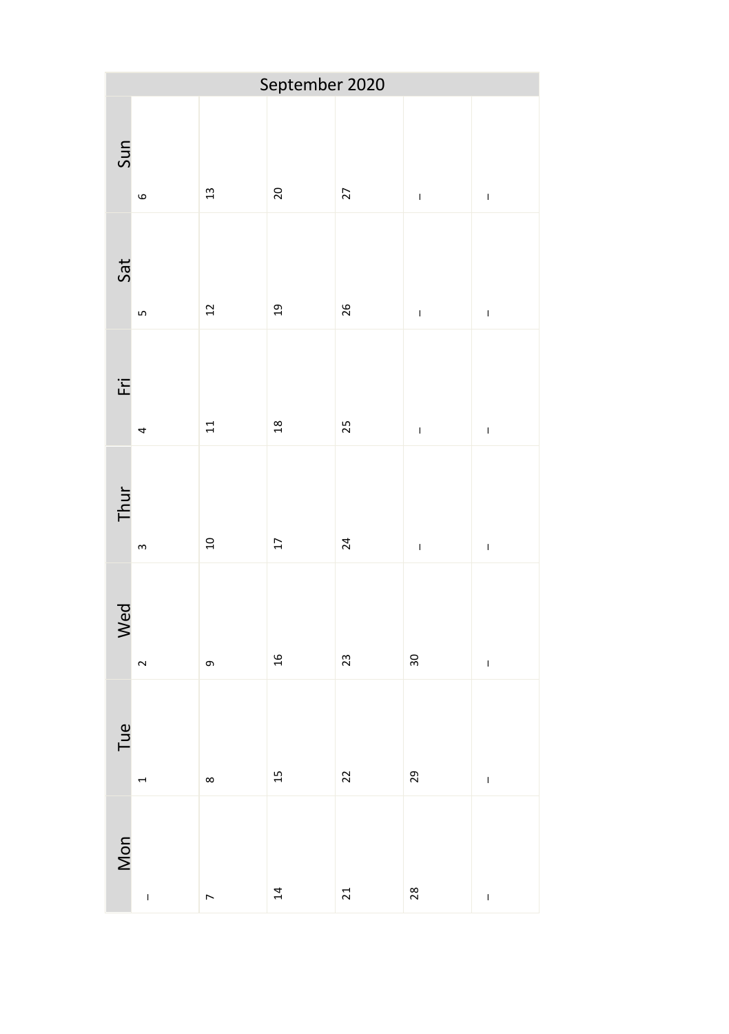| September 2020 |                |                |                 |    |                |                |  |
|----------------|----------------|----------------|-----------------|----|----------------|----------------|--|
| Sun            | $\circ$        | 13             | 20              | 27 | $\bar{1}$      | $\mathbf{I}$   |  |
| Sat            | LŊ             | 12             | 19              | 26 | $\mathbf{I}$   | $\mathbf{I}$   |  |
| ĒÏ             | 4              | 11             | 18              | 25 | $\overline{1}$ | $\mathbf{I}$   |  |
| Thur           | $\sim$         | $\overline{a}$ | $17$            | 24 | $\mathbf{I}$   | $\mathbf{I}$   |  |
| Wed            | $\sim$         | თ,             | $\frac{1}{2}$   | 23 | 30             | $\bar{\rm I}$  |  |
| Tue            | $\overline{a}$ | $\infty$       | 15              | 22 | 29             | $\mathbf{I}$   |  |
| Mon            | $\overline{1}$ | $\overline{a}$ | $\overline{14}$ | 21 | 28             | $\overline{1}$ |  |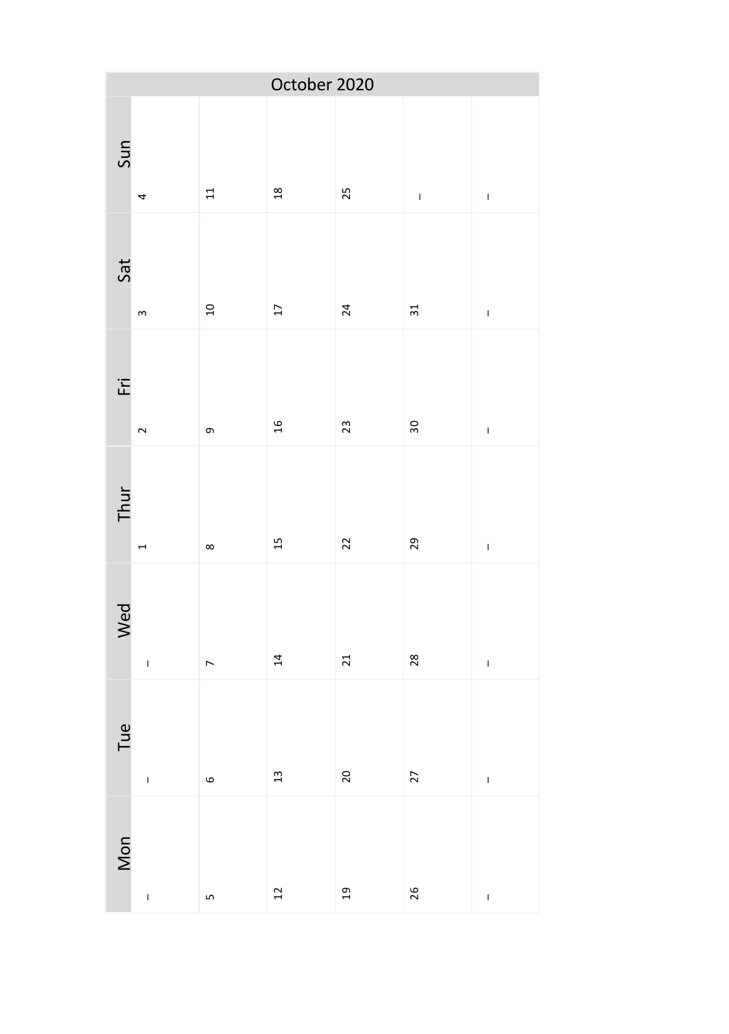| October 2020 |                |                |                     |         |                 |              |  |
|--------------|----------------|----------------|---------------------|---------|-----------------|--------------|--|
| Sun          | 4              | 11             | $\frac{18}{1}$      | 25      | $\bar{1}$       | $\mathbf{I}$ |  |
| Sat          | $\,$ $\,$      | $\overline{a}$ | $\overline{\Omega}$ | 24      | $\overline{31}$ | $\mathbf{I}$ |  |
| ĒÏ           | $\sim$         | თ,             | $\frac{1}{2}$       | 23      | 30              | $\bar{1}$    |  |
| Thur         | $\overline{ }$ | $\infty$       | 15                  | 22      | 29              | $\mathbf{I}$ |  |
| Wed          | $\mathbf{I}$   | $\overline{a}$ | $\overline{14}$     | 21      | 28              | $\mathbf{I}$ |  |
| Tue          | $\overline{1}$ | $\circ$        | $\mathfrak{a}$      | 20      | 27              | $\mathbf{I}$ |  |
| Mon          | $\overline{1}$ | LŊ             | $\overline{12}$     | $_{19}$ | 26              | $\mathbf{I}$ |  |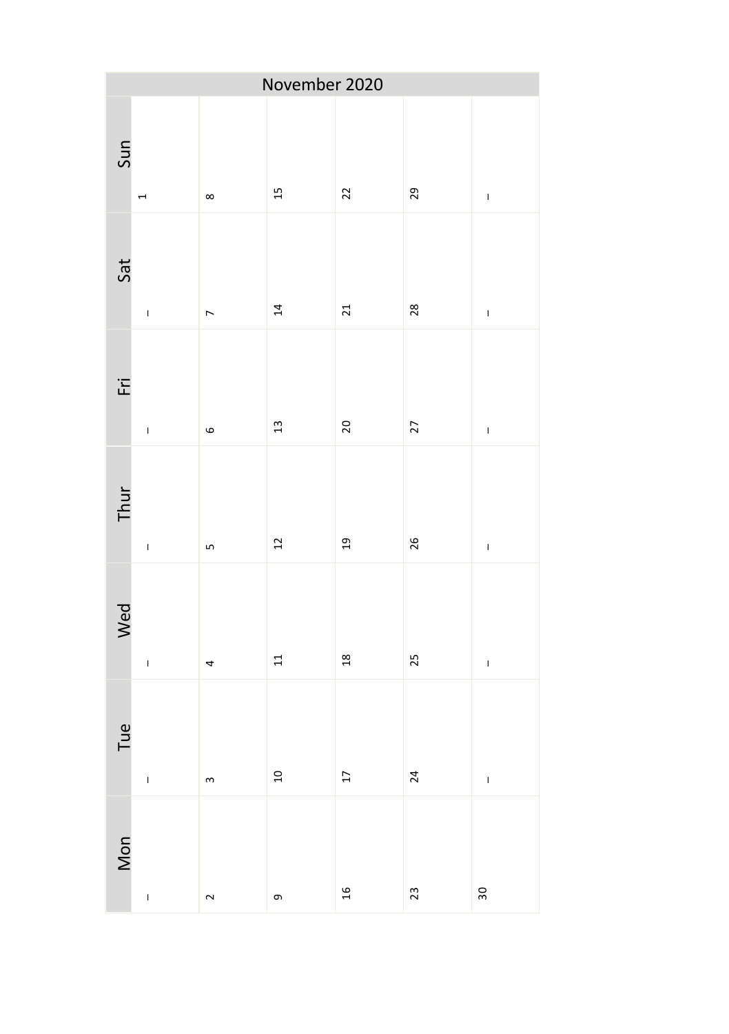| November 2020 |                                                                                                                                                                                                                                                                                                                                                                                  |                |                |                 |    |               |  |
|---------------|----------------------------------------------------------------------------------------------------------------------------------------------------------------------------------------------------------------------------------------------------------------------------------------------------------------------------------------------------------------------------------|----------------|----------------|-----------------|----|---------------|--|
| Sun           | $\overline{ }$                                                                                                                                                                                                                                                                                                                                                                   | $\infty$       | 15             | 22              | 29 | $\bar{1}$     |  |
| Sat           | $\mathbf{I}$                                                                                                                                                                                                                                                                                                                                                                     | $\overline{a}$ | 14             | 21              | 28 | $\mathbf{I}$  |  |
| Εri           | $\mathbf{I}$                                                                                                                                                                                                                                                                                                                                                                     | $\circ$        | $\frac{1}{3}$  | 20              | 27 | $\mathbf{I}$  |  |
| Thur          | $\mathbf{I}$                                                                                                                                                                                                                                                                                                                                                                     | LŊ             | $\overline{c}$ | 19              | 26 | $\bar{\rm I}$ |  |
| Wed           | $\overline{1}$                                                                                                                                                                                                                                                                                                                                                                   | 4              | 11             | 18              | 25 | $\mathbf{I}$  |  |
| Tue           | $\begin{array}{c} \rule{0pt}{2.5ex} \rule{0pt}{2.5ex} \rule{0pt}{2.5ex} \rule{0pt}{2.5ex} \rule{0pt}{2.5ex} \rule{0pt}{2.5ex} \rule{0pt}{2.5ex} \rule{0pt}{2.5ex} \rule{0pt}{2.5ex} \rule{0pt}{2.5ex} \rule{0pt}{2.5ex} \rule{0pt}{2.5ex} \rule{0pt}{2.5ex} \rule{0pt}{2.5ex} \rule{0pt}{2.5ex} \rule{0pt}{2.5ex} \rule{0pt}{2.5ex} \rule{0pt}{2.5ex} \rule{0pt}{2.5ex} \rule{0$ | $\mathsf{S}$   | $\Xi$          | $\overline{17}$ | 24 | $\mathbf{I}$  |  |
| Mon           | $\mathbf{I}$                                                                                                                                                                                                                                                                                                                                                                     | $\sim$         | თ,             | $16$            | 23 | 30            |  |